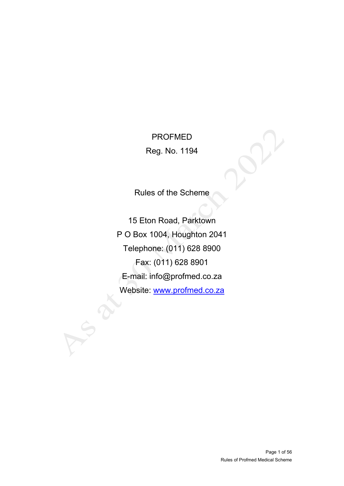PROFMED Reg. No. 1194

Rules of the Scheme

15 Eton Road, Parktown P O Box 1004, Houghton 2041 Telephone: (011) 628 8900 Fax: (011) 628 8901 E-mail: info@profmed.co.za Website: [www.profmed.co.za](http://www.profmed.co.za/)

 $\Omega$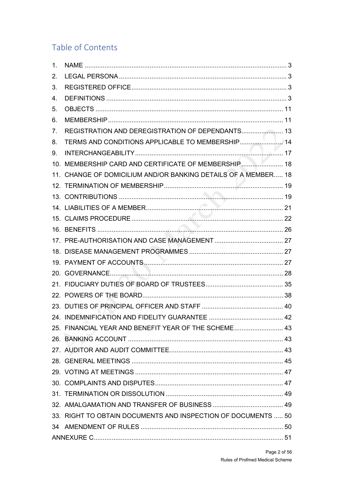# Table of Contents

| 1 <sub>1</sub> |                                                                |  |
|----------------|----------------------------------------------------------------|--|
| 2.             |                                                                |  |
| 3.             |                                                                |  |
| 4.             |                                                                |  |
| 5.             |                                                                |  |
| 6.             |                                                                |  |
| 7.             |                                                                |  |
| 8.             |                                                                |  |
| 9.             |                                                                |  |
|                | 10. MEMBERSHIP CARD AND CERTIFICATE OF MEMBERSHIP 18           |  |
|                | 11. CHANGE OF DOMICILIUM AND/OR BANKING DETAILS OF A MEMBER 18 |  |
|                |                                                                |  |
|                |                                                                |  |
|                |                                                                |  |
|                |                                                                |  |
|                |                                                                |  |
|                |                                                                |  |
|                |                                                                |  |
|                |                                                                |  |
|                |                                                                |  |
|                |                                                                |  |
|                |                                                                |  |
|                |                                                                |  |
|                |                                                                |  |
|                | 25. FINANCIAL YEAR AND BENEFIT YEAR OF THE SCHEME 43           |  |
|                |                                                                |  |
|                |                                                                |  |
|                |                                                                |  |
|                |                                                                |  |
|                |                                                                |  |
|                |                                                                |  |
|                |                                                                |  |
|                | 33. RIGHT TO OBTAIN DOCUMENTS AND INSPECTION OF DOCUMENTS  50  |  |
|                |                                                                |  |
|                |                                                                |  |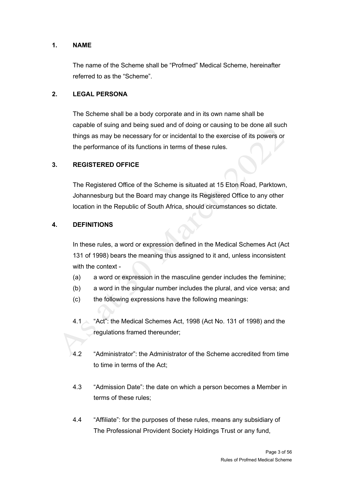### <span id="page-2-0"></span>**1. NAME**

The name of the Scheme shall be "Profmed" Medical Scheme, hereinafter referred to as the "Scheme".

### <span id="page-2-1"></span>**2. LEGAL PERSONA**

The Scheme shall be a body corporate and in its own name shall be capable of suing and being sued and of doing or causing to be done all such things as may be necessary for or incidental to the exercise of its powers or the performance of its functions in terms of these rules.

### <span id="page-2-2"></span>**3. REGISTERED OFFICE**

The Registered Office of the Scheme is situated at 15 Eton Road, Parktown, Johannesburg but the Board may change its Registered Office to any other location in the Republic of South Africa, should circumstances so dictate.

### <span id="page-2-3"></span>**4. DEFINITIONS**

In these rules, a word or expression defined in the Medical Schemes Act (Act 131 of 1998) bears the meaning thus assigned to it and, unless inconsistent with the context -

- (a) a word or expression in the masculine gender includes the feminine;
- (b) a word in the singular number includes the plural, and vice versa; and
- (c) the following expressions have the following meanings:
- 4.1 "Act": the Medical Schemes Act, 1998 (Act No. 131 of 1998) and the regulations framed thereunder;
- 4.2 "Administrator": the Administrator of the Scheme accredited from time to time in terms of the Act;
- 4.3 "Admission Date": the date on which a person becomes a Member in terms of these rules;
- 4.4 "Affiliate": for the purposes of these rules, means any subsidiary of The Professional Provident Society Holdings Trust or any fund,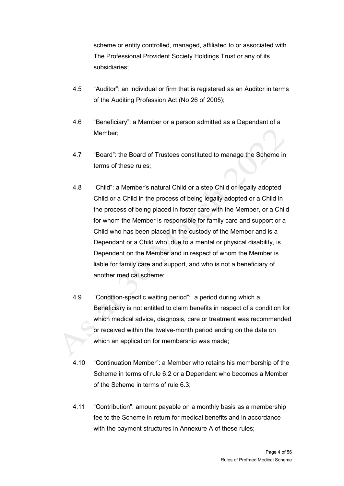scheme or entity controlled, managed, affiliated to or associated with The Professional Provident Society Holdings Trust or any of its subsidiaries;

- 4.5 "Auditor": an individual or firm that is registered as an Auditor in terms of the Auditing Profession Act (No 26 of 2005);
- 4.6 "Beneficiary": a Member or a person admitted as a Dependant of a Member;
- 4.7 "Board": the Board of Trustees constituted to manage the Scheme in terms of these rules;
- 4.8 "Child": a Member's natural Child or a step Child or legally adopted Child or a Child in the process of being legally adopted or a Child in the process of being placed in foster care with the Member, or a Child for whom the Member is responsible for family care and support or a Child who has been placed in the custody of the Member and is a Dependant or a Child who, due to a mental or physical disability, is Dependent on the Member and in respect of whom the Member is liable for family care and support, and who is not a beneficiary of another medical scheme;
- 4.9 "Condition-specific waiting period": a period during which a Beneficiary is not entitled to claim benefits in respect of a condition for which medical advice, diagnosis, care or treatment was recommended or received within the twelve-month period ending on the date on which an application for membership was made;
- 4.10 "Continuation Member": a Member who retains his membership of the Scheme in terms of rule 6.2 or a Dependant who becomes a Member of the Scheme in terms of rule 6.3;
- 4.11 "Contribution": amount payable on a monthly basis as a membership fee to the Scheme in return for medical benefits and in accordance with the payment structures in Annexure A of these rules: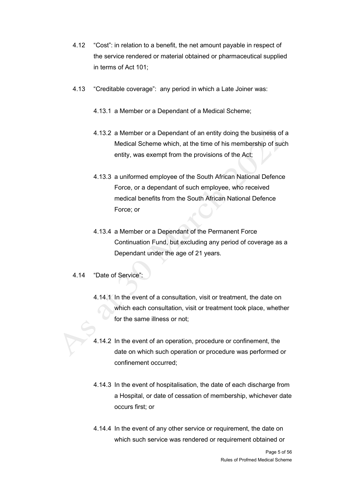- 4.12 "Cost": in relation to a benefit, the net amount payable in respect of the service rendered or material obtained or pharmaceutical supplied in terms of Act 101;
- 4.13 "Creditable coverage": any period in which a Late Joiner was:
	- 4.13.1 a Member or a Dependant of a Medical Scheme;
	- 4.13.2 a Member or a Dependant of an entity doing the business of a Medical Scheme which, at the time of his membership of such entity, was exempt from the provisions of the Act;
	- 4.13.3 a uniformed employee of the South African National Defence Force, or a dependant of such employee, who received medical benefits from the South African National Defence Force; or
	- 4.13.4 a Member or a Dependant of the Permanent Force Continuation Fund, but excluding any period of coverage as a Dependant under the age of 21 years.
- 4.14 "Date of Service":
	- 4.14.1 In the event of a consultation, visit or treatment, the date on which each consultation, visit or treatment took place, whether for the same illness or not;
	- 4.14.2 In the event of an operation, procedure or confinement, the date on which such operation or procedure was performed or confinement occurred;
	- 4.14.3 In the event of hospitalisation, the date of each discharge from a Hospital, or date of cessation of membership, whichever date occurs first; or
	- 4.14.4 In the event of any other service or requirement, the date on which such service was rendered or requirement obtained or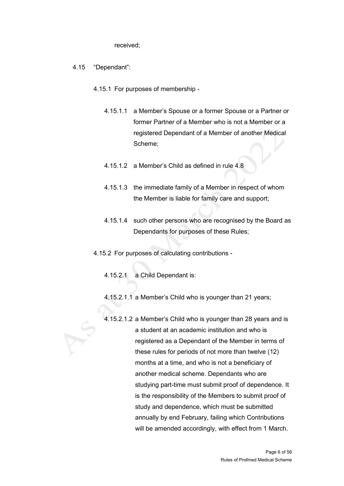received;

- 4.15 "Dependant":
	- 4.15.1 For purposes of membership
		- 4.15.1.1 a Member's Spouse or a former Spouse or a Partner or former Partner of a Member who is not a Member or a registered Dependant of a Member of another Medical Scheme;
		- 4.15.1.2 a Member's Child as defined in rule 4.8
		- 4.15.1.3 the immediate family of a Member in respect of whom the Member is liable for family care and support;
		- 4.15.1.4 such other persons who are recognised by the Board as Dependants for purposes of these Rules;
	- 4.15.2 For purposes of calculating contributions
		- 4.15.2.1 a Child Dependant is:
		- 4.15.2.1.1 a Member's Child who is younger than 21 years;
		- 4.15.2.1.2 a Member's Child who is younger than 28 years and is a student at an academic institution and who is registered as a Dependant of the Member in terms of these rules for periods of not more than twelve (12) months at a time, and who is not a beneficiary of another medical scheme. Dependants who are studying part-time must submit proof of dependence. It is the responsibility of the Members to submit proof of study and dependence, which must be submitted annually by end February, failing which Contributions will be amended accordingly, with effect from 1 March.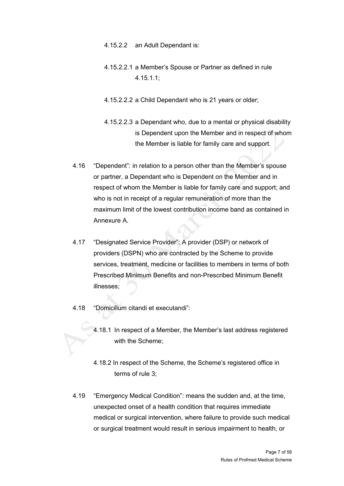- 4.15.2.2 an Adult Dependant is:
- 4.15.2.2.1 a Member's Spouse or Partner as defined in rule 4.15.1.1;
- 4.15.2.2.2 a Child Dependant who is 21 years or older;
- 4.15.2.2.3 a Dependant who, due to a mental or physical disability is Dependent upon the Member and in respect of whom the Member is liable for family care and support.
- 4.16 "Dependent": in relation to a person other than the Member's spouse or partner, a Dependant who is Dependent on the Member and in respect of whom the Member is liable for family care and support; and who is not in receipt of a regular remuneration of more than the maximum limit of the lowest contribution income band as contained in Annexure A.
- 4.17 "Designated Service Provider": A provider (DSP) or network of providers (DSPN) who are contracted by the Scheme to provide services, treatment, medicine or facilities to members in terms of both Prescribed Minimum Benefits and non-Prescribed Minimum Benefit illnesses;
- 4.18 "Domicilium citandi et executandi":
	- 4.18.1 In respect of a Member, the Member's last address registered with the Scheme;
	- 4.18.2 In respect of the Scheme, the Scheme's registered office in terms of rule 3;
- 4.19 "Emergency Medical Condition": means the sudden and, at the time, unexpected onset of a health condition that requires immediate medical or surgical intervention, where failure to provide such medical or surgical treatment would result in serious impairment to health, or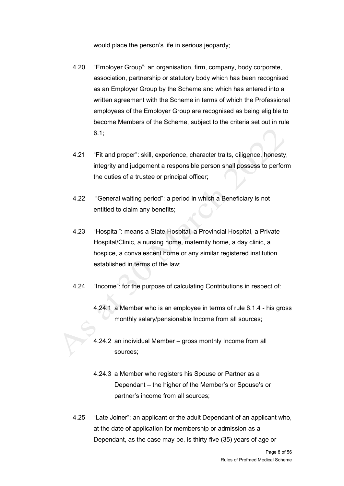would place the person's life in serious jeopardy;

- 4.20 "Employer Group": an organisation, firm, company, body corporate, association, partnership or statutory body which has been recognised as an Employer Group by the Scheme and which has entered into a written agreement with the Scheme in terms of which the Professional employees of the Employer Group are recognised as being eligible to become Members of the Scheme, subject to the criteria set out in rule 6.1;
- 4.21 "Fit and proper": skill, experience, character traits, diligence, honesty, integrity and judgement a responsible person shall possess to perform the duties of a trustee or principal officer;
- 4.22 "General waiting period": a period in which a Beneficiary is not entitled to claim any benefits;
- 4.23 "Hospital": means a State Hospital, a Provincial Hospital, a Private Hospital/Clinic, a nursing home, maternity home, a day clinic, a hospice, a convalescent home or any similar registered institution established in terms of the law;
- 4.24 "Income": for the purpose of calculating Contributions in respect of:
	- 4.24.1 a Member who is an employee in terms of rule 6.1.4 his gross monthly salary/pensionable Income from all sources;
	- 4.24.2 an individual Member gross monthly Income from all sources;
	- 4.24.3 a Member who registers his Spouse or Partner as a Dependant – the higher of the Member's or Spouse's or partner's income from all sources;
- 4.25 "Late Joiner": an applicant or the adult Dependant of an applicant who, at the date of application for membership or admission as a Dependant, as the case may be, is thirty-five (35) years of age or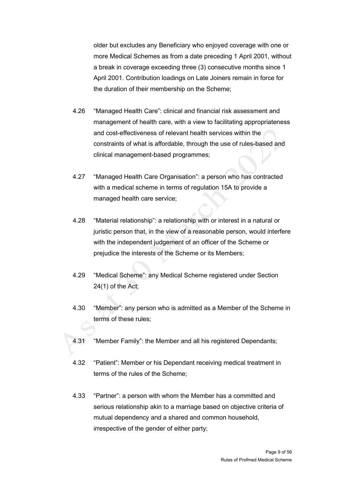older but excludes any Beneficiary who enjoyed coverage with one or more Medical Schemes as from a date preceding 1 April 2001, without a break in coverage exceeding three (3) consecutive months since 1 April 2001. Contribution loadings on Late Joiners remain in force for the duration of their membership on the Scheme;

- 4.26 "Managed Health Care": clinical and financial risk assessment and management of health care, with a view to facilitating appropriateness and cost-effectiveness of relevant health services within the constraints of what is affordable, through the use of rules-based and clinical management-based programmes;
- 4.27 "Managed Health Care Organisation": a person who has contracted with a medical scheme in terms of regulation 15A to provide a managed health care service;
- 4.28 "Material relationship": a relationship with or interest in a natural or juristic person that, in the view of a reasonable person, would interfere with the independent judgement of an officer of the Scheme or prejudice the interests of the Scheme or its Members;
- 4.29 "Medical Scheme": any Medical Scheme registered under Section 24(1) of the Act;
- 4.30 "Member": any person who is admitted as a Member of the Scheme in terms of these rules;
- 4.31 "Member Family": the Member and all his registered Dependants;
- 4.32 "Patient": Member or his Dependant receiving medical treatment in terms of the rules of the Scheme;
- 4.33 "Partner": a person with whom the Member has a committed and serious relationship akin to a marriage based on objective criteria of mutual dependency and a shared and common household, irrespective of the gender of either party;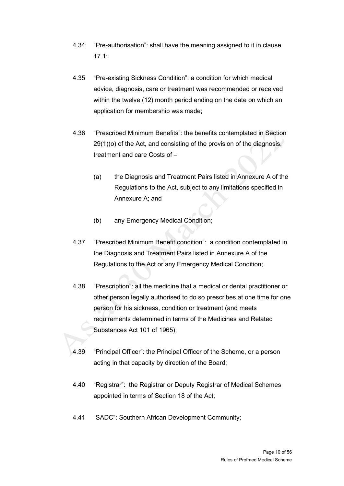- 4.34 "Pre-authorisation": shall have the meaning assigned to it in clause 17.1;
- 4.35 "Pre-existing Sickness Condition": a condition for which medical advice, diagnosis, care or treatment was recommended or received within the twelve (12) month period ending on the date on which an application for membership was made;
- 4.36 "Prescribed Minimum Benefits": the benefits contemplated in Section 29(1)(o) of the Act, and consisting of the provision of the diagnosis, treatment and care Costs of –
	- (a) the Diagnosis and Treatment Pairs listed in Annexure A of the Regulations to the Act, subject to any limitations specified in Annexure A; and
	- (b) any Emergency Medical Condition;
- 4.37 "Prescribed Minimum Benefit condition": a condition contemplated in the Diagnosis and Treatment Pairs listed in Annexure A of the Regulations to the Act or any Emergency Medical Condition;
- 4.38 "Prescription": all the medicine that a medical or dental practitioner or other person legally authorised to do so prescribes at one time for one person for his sickness, condition or treatment (and meets requirements determined in terms of the Medicines and Related Substances Act 101 of 1965);
- 4.39 "Principal Officer": the Principal Officer of the Scheme, or a person acting in that capacity by direction of the Board;
- 4.40 "Registrar": the Registrar or Deputy Registrar of Medical Schemes appointed in terms of Section 18 of the Act;
- 4.41 "SADC": Southern African Development Community;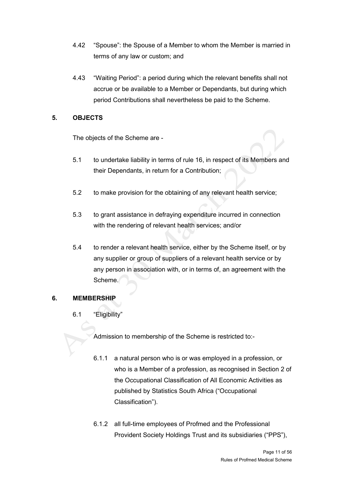- 4.42 "Spouse": the Spouse of a Member to whom the Member is married in terms of any law or custom; and
- 4.43 "Waiting Period": a period during which the relevant benefits shall not accrue or be available to a Member or Dependants, but during which period Contributions shall nevertheless be paid to the Scheme.

# <span id="page-10-0"></span>**5. OBJECTS**

The objects of the Scheme are -

- 5.1 to undertake liability in terms of rule 16, in respect of its Members and their Dependants, in return for a Contribution;
- 5.2 to make provision for the obtaining of any relevant health service;
- 5.3 to grant assistance in defraying expenditure incurred in connection with the rendering of relevant health services; and/or
- 5.4 to render a relevant health service, either by the Scheme itself, or by any supplier or group of suppliers of a relevant health service or by any person in association with, or in terms of, an agreement with the Scheme.

# <span id="page-10-1"></span>**6. MEMBERSHIP**

6.1 "Eligibility"

Admission to membership of the Scheme is restricted to:-

- 6.1.1 a natural person who is or was employed in a profession, or who is a Member of a profession, as recognised in Section 2 of the Occupational Classification of All Economic Activities as published by Statistics South Africa ("Occupational Classification").
- 6.1.2 all full-time employees of Profmed and the Professional Provident Society Holdings Trust and its subsidiaries ("PPS"),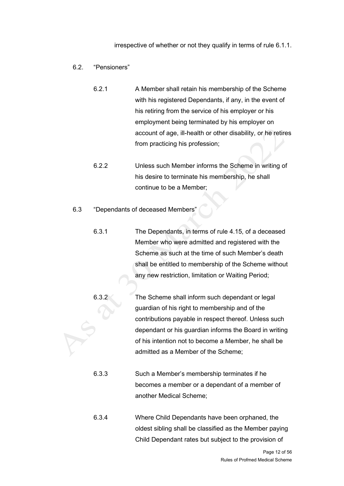irrespective of whether or not they qualify in terms of rule 6.1.1.

### 6.2. "Pensioners"

- 6.2.1 A Member shall retain his membership of the Scheme with his registered Dependants, if any, in the event of his retiring from the service of his employer or his employment being terminated by his employer on account of age, ill-health or other disability, or he retires from practicing his profession;
- 6.2.2 Unless such Member informs the Scheme in writing of his desire to terminate his membership, he shall continue to be a Member;

#### 6.3 "Dependants of deceased Members"

- 6.3.1 The Dependants, in terms of rule 4.15, of a deceased Member who were admitted and registered with the Scheme as such at the time of such Member's death shall be entitled to membership of the Scheme without any new restriction, limitation or Waiting Period;
- 6.3.2 The Scheme shall inform such dependant or legal guardian of his right to membership and of the contributions payable in respect thereof. Unless such dependant or his guardian informs the Board in writing of his intention not to become a Member, he shall be admitted as a Member of the Scheme;
	- 6.3.3 Such a Member's membership terminates if he becomes a member or a dependant of a member of another Medical Scheme;
	- 6.3.4 Where Child Dependants have been orphaned, the oldest sibling shall be classified as the Member paying Child Dependant rates but subject to the provision of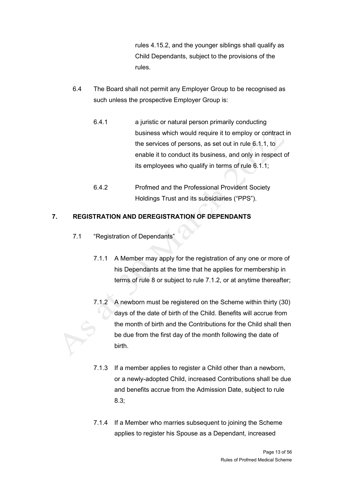rules 4.15.2, and the younger siblings shall qualify as Child Dependants, subject to the provisions of the rules.

- 6.4 The Board shall not permit any Employer Group to be recognised as such unless the prospective Employer Group is:
	- 6.4.1 a juristic or natural person primarily conducting business which would require it to employ or contract in the services of persons, as set out in rule 6.1.1, to enable it to conduct its business, and only in respect of its employees who qualify in terms of rule 6.1.1;
	- 6.4.2 Profmed and the Professional Provident Society Holdings Trust and its subsidiaries ("PPS").

# <span id="page-12-0"></span>**7. REGISTRATION AND DEREGISTRATION OF DEPENDANTS**

- 7.1 "Registration of Dependants"
	- 7.1.1 A Member may apply for the registration of any one or more of his Dependants at the time that he applies for membership in terms of rule 8 or subject to rule 7.1.2, or at anytime thereafter;
	- 7.1.2 A newborn must be registered on the Scheme within thirty (30) days of the date of birth of the Child. Benefits will accrue from the month of birth and the Contributions for the Child shall then be due from the first day of the month following the date of birth.
	- 7.1.3 If a member applies to register a Child other than a newborn, or a newly-adopted Child, increased Contributions shall be due and benefits accrue from the Admission Date, subject to rule 8.3;
	- 7.1.4 If a Member who marries subsequent to joining the Scheme applies to register his Spouse as a Dependant, increased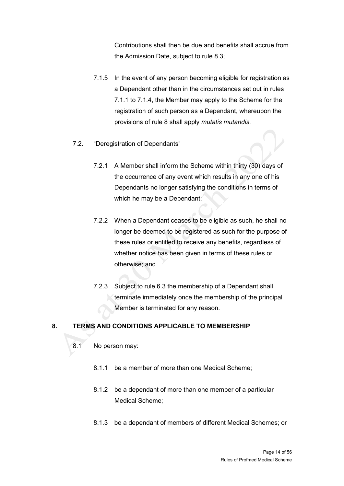Contributions shall then be due and benefits shall accrue from the Admission Date, subject to rule 8.3;

- 7.1.5 In the event of any person becoming eligible for registration as a Dependant other than in the circumstances set out in rules 7.1.1 to 7.1.4, the Member may apply to the Scheme for the registration of such person as a Dependant, whereupon the provisions of rule 8 shall apply *mutatis mutandis.*
- 7.2. "Deregistration of Dependants"
	- 7.2.1 A Member shall inform the Scheme within thirty (30) days of the occurrence of any event which results in any one of his Dependants no longer satisfying the conditions in terms of which he may be a Dependant;
	- 7.2.2 When a Dependant ceases to be eligible as such, he shall no longer be deemed to be registered as such for the purpose of these rules or entitled to receive any benefits, regardless of whether notice has been given in terms of these rules or otherwise; and
	- 7.2.3 Subject to rule 6.3 the membership of a Dependant shall terminate immediately once the membership of the principal Member is terminated for any reason.

### <span id="page-13-0"></span>**8. TERMS AND CONDITIONS APPLICABLE TO MEMBERSHIP**

- 8.1 No person may:
	- 8.1.1 be a member of more than one Medical Scheme;
	- 8.1.2 be a dependant of more than one member of a particular Medical Scheme;
	- 8.1.3 be a dependant of members of different Medical Schemes; or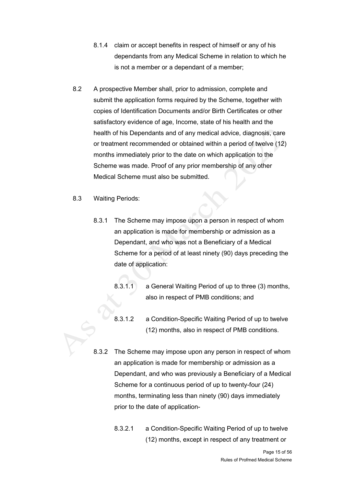- 8.1.4 claim or accept benefits in respect of himself or any of his dependants from any Medical Scheme in relation to which he is not a member or a dependant of a member;
- 8.2 A prospective Member shall, prior to admission, complete and submit the application forms required by the Scheme, together with copies of Identification Documents and/or Birth Certificates or other satisfactory evidence of age, Income, state of his health and the health of his Dependants and of any medical advice, diagnosis, care or treatment recommended or obtained within a period of twelve (12) months immediately prior to the date on which application to the Scheme was made. Proof of any prior membership of any other Medical Scheme must also be submitted.
- 8.3 Waiting Periods:
	- 8.3.1 The Scheme may impose upon a person in respect of whom an application is made for membership or admission as a Dependant, and who was not a Beneficiary of a Medical Scheme for a period of at least ninety (90) days preceding the date of application:
		- 8.3.1.1 a General Waiting Period of up to three (3) months, also in respect of PMB conditions; and
		- 8.3.1.2 a Condition-Specific Waiting Period of up to twelve (12) months, also in respect of PMB conditions.
	- 8.3.2 The Scheme may impose upon any person in respect of whom an application is made for membership or admission as a Dependant, and who was previously a Beneficiary of a Medical Scheme for a continuous period of up to twenty-four (24) months, terminating less than ninety (90) days immediately prior to the date of application-
		- 8.3.2.1 a Condition-Specific Waiting Period of up to twelve (12) months, except in respect of any treatment or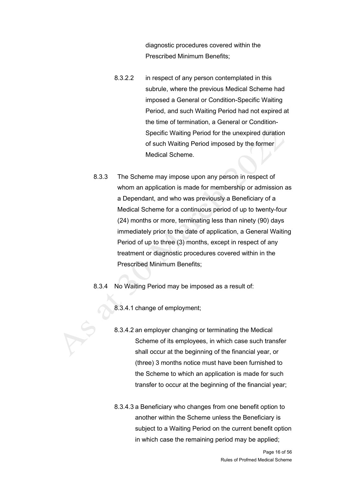diagnostic procedures covered within the Prescribed Minimum Benefits;

- 8.3.2.2 in respect of any person contemplated in this subrule, where the previous Medical Scheme had imposed a General or Condition-Specific Waiting Period, and such Waiting Period had not expired at the time of termination, a General or Condition-Specific Waiting Period for the unexpired duration of such Waiting Period imposed by the former Medical Scheme.
- 8.3.3 The Scheme may impose upon any person in respect of whom an application is made for membership or admission as a Dependant, and who was previously a Beneficiary of a Medical Scheme for a continuous period of up to twenty-four (24) months or more, terminating less than ninety (90) days immediately prior to the date of application, a General Waiting Period of up to three (3) months, except in respect of any treatment or diagnostic procedures covered within in the Prescribed Minimum Benefits;
- 8.3.4 No Waiting Period may be imposed as a result of:

8.3.4.1 change of employment;

- 8.3.4.2 an employer changing or terminating the Medical Scheme of its employees, in which case such transfer shall occur at the beginning of the financial year, or (three) 3 months notice must have been furnished to the Scheme to which an application is made for such transfer to occur at the beginning of the financial year;
- 8.3.4.3 a Beneficiary who changes from one benefit option to another within the Scheme unless the Beneficiary is subject to a Waiting Period on the current benefit option in which case the remaining period may be applied;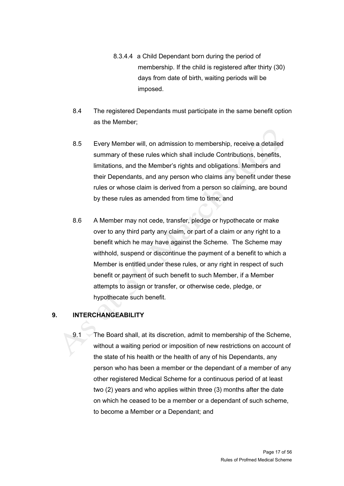- 8.3.4.4 a Child Dependant born during the period of membership. If the child is registered after thirty (30) days from date of birth, waiting periods will be imposed.
- 8.4 The registered Dependants must participate in the same benefit option as the Member;
- 8.5 Every Member will, on admission to membership, receive a detailed summary of these rules which shall include Contributions, benefits, limitations, and the Member's rights and obligations. Members and their Dependants, and any person who claims any benefit under these rules or whose claim is derived from a person so claiming, are bound by these rules as amended from time to time; and
- 8.6 A Member may not cede, transfer, pledge or hypothecate or make over to any third party any claim, or part of a claim or any right to a benefit which he may have against the Scheme. The Scheme may withhold, suspend or discontinue the payment of a benefit to which a Member is entitled under these rules, or any right in respect of such benefit or payment of such benefit to such Member, if a Member attempts to assign or transfer, or otherwise cede, pledge, or hypothecate such benefit.

# <span id="page-16-0"></span>**9. INTERCHANGEABILITY**

9.1 The Board shall, at its discretion, admit to membership of the Scheme, without a waiting period or imposition of new restrictions on account of the state of his health or the health of any of his Dependants, any person who has been a member or the dependant of a member of any other registered Medical Scheme for a continuous period of at least two (2) years and who applies within three (3) months after the date on which he ceased to be a member or a dependant of such scheme, to become a Member or a Dependant; and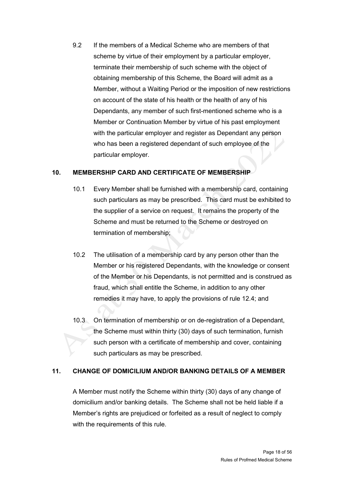9.2 If the members of a Medical Scheme who are members of that scheme by virtue of their employment by a particular employer, terminate their membership of such scheme with the object of obtaining membership of this Scheme, the Board will admit as a Member, without a Waiting Period or the imposition of new restrictions on account of the state of his health or the health of any of his Dependants, any member of such first-mentioned scheme who is a Member or Continuation Member by virtue of his past employment with the particular employer and register as Dependant any person who has been a registered dependant of such employee of the particular employer.

# <span id="page-17-0"></span>**10. MEMBERSHIP CARD AND CERTIFICATE OF MEMBERSHIP**

- 10.1 Every Member shall be furnished with a membership card, containing such particulars as may be prescribed. This card must be exhibited to the supplier of a service on request. It remains the property of the Scheme and must be returned to the Scheme or destroyed on termination of membership;
- 10.2 The utilisation of a membership card by any person other than the Member or his registered Dependants, with the knowledge or consent of the Member or his Dependants, is not permitted and is construed as fraud, which shall entitle the Scheme, in addition to any other remedies it may have, to apply the provisions of rule 12.4; and
- 10.3 On termination of membership or on de-registration of a Dependant, the Scheme must within thirty (30) days of such termination, furnish such person with a certificate of membership and cover, containing such particulars as may be prescribed.

# <span id="page-17-1"></span>**11. CHANGE OF DOMICILIUM AND/OR BANKING DETAILS OF A MEMBER**

A Member must notify the Scheme within thirty (30) days of any change of domicilium and/or banking details. The Scheme shall not be held liable if a Member's rights are prejudiced or forfeited as a result of neglect to comply with the requirements of this rule.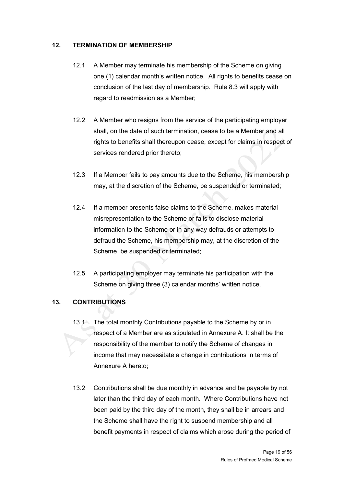### <span id="page-18-0"></span>**12. TERMINATION OF MEMBERSHIP**

- 12.1 A Member may terminate his membership of the Scheme on giving one (1) calendar month's written notice. All rights to benefits cease on conclusion of the last day of membership. Rule 8.3 will apply with regard to readmission as a Member;
- 12.2 A Member who resigns from the service of the participating employer shall, on the date of such termination, cease to be a Member and all rights to benefits shall thereupon cease, except for claims in respect of services rendered prior thereto;
- 12.3 If a Member fails to pay amounts due to the Scheme, his membership may, at the discretion of the Scheme, be suspended or terminated;
- 12.4 If a member presents false claims to the Scheme, makes material misrepresentation to the Scheme or fails to disclose material information to the Scheme or in any way defrauds or attempts to defraud the Scheme, his membership may, at the discretion of the Scheme, be suspended or terminated;
- 12.5 A participating employer may terminate his participation with the Scheme on giving three (3) calendar months' written notice.

# <span id="page-18-1"></span>**13. CONTRIBUTIONS**

- 13.1 The total monthly Contributions payable to the Scheme by or in respect of a Member are as stipulated in Annexure A. It shall be the responsibility of the member to notify the Scheme of changes in income that may necessitate a change in contributions in terms of Annexure A hereto;
- 13.2 Contributions shall be due monthly in advance and be payable by not later than the third day of each month. Where Contributions have not been paid by the third day of the month, they shall be in arrears and the Scheme shall have the right to suspend membership and all benefit payments in respect of claims which arose during the period of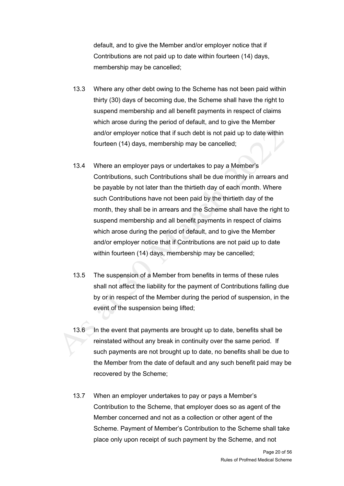default, and to give the Member and/or employer notice that if Contributions are not paid up to date within fourteen (14) days, membership may be cancelled;

- 13.3 Where any other debt owing to the Scheme has not been paid within thirty (30) days of becoming due, the Scheme shall have the right to suspend membership and all benefit payments in respect of claims which arose during the period of default, and to give the Member and/or employer notice that if such debt is not paid up to date within fourteen (14) days, membership may be cancelled;
- 13.4 Where an employer pays or undertakes to pay a Member's Contributions, such Contributions shall be due monthly in arrears and be payable by not later than the thirtieth day of each month. Where such Contributions have not been paid by the thirtieth day of the month, they shall be in arrears and the Scheme shall have the right to suspend membership and all benefit payments in respect of claims which arose during the period of default, and to give the Member and/or employer notice that if Contributions are not paid up to date within fourteen (14) days, membership may be cancelled;
- 13.5 The suspension of a Member from benefits in terms of these rules shall not affect the liability for the payment of Contributions falling due by or in respect of the Member during the period of suspension, in the event of the suspension being lifted;
- 13.6 In the event that payments are brought up to date, benefits shall be reinstated without any break in continuity over the same period. If such payments are not brought up to date, no benefits shall be due to the Member from the date of default and any such benefit paid may be recovered by the Scheme;
- 13.7 When an employer undertakes to pay or pays a Member's Contribution to the Scheme, that employer does so as agent of the Member concerned and not as a collection or other agent of the Scheme. Payment of Member's Contribution to the Scheme shall take place only upon receipt of such payment by the Scheme, and not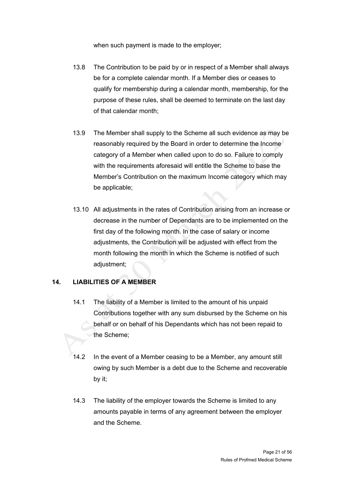when such payment is made to the employer;

- 13.8 The Contribution to be paid by or in respect of a Member shall always be for a complete calendar month. If a Member dies or ceases to qualify for membership during a calendar month, membership, for the purpose of these rules, shall be deemed to terminate on the last day of that calendar month;
- 13.9 The Member shall supply to the Scheme all such evidence as may be reasonably required by the Board in order to determine the Income category of a Member when called upon to do so. Failure to comply with the requirements aforesaid will entitle the Scheme to base the Member's Contribution on the maximum Income category which may be applicable;
- 13.10 All adjustments in the rates of Contribution arising from an increase or decrease in the number of Dependants are to be implemented on the first day of the following month. In the case of salary or income adjustments, the Contribution will be adjusted with effect from the month following the month in which the Scheme is notified of such adiustment:

### <span id="page-20-0"></span>**14. LIABILITIES OF A MEMBER**

- 14.1 The liability of a Member is limited to the amount of his unpaid Contributions together with any sum disbursed by the Scheme on his behalf or on behalf of his Dependants which has not been repaid to the Scheme;
- 14.2 In the event of a Member ceasing to be a Member, any amount still owing by such Member is a debt due to the Scheme and recoverable by it;
- 14.3 The liability of the employer towards the Scheme is limited to any amounts payable in terms of any agreement between the employer and the Scheme.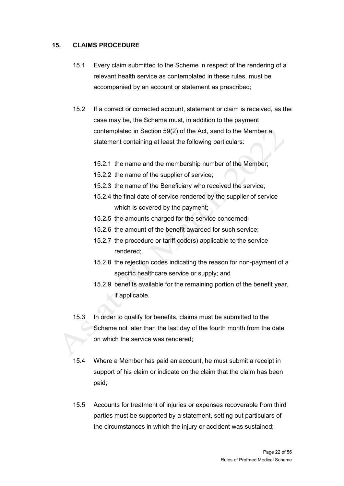### <span id="page-21-0"></span>**15. CLAIMS PROCEDURE**

- 15.1 Every claim submitted to the Scheme in respect of the rendering of a relevant health service as contemplated in these rules, must be accompanied by an account or statement as prescribed;
- 15.2 If a correct or corrected account, statement or claim is received, as the case may be, the Scheme must, in addition to the payment contemplated in Section 59(2) of the Act, send to the Member a statement containing at least the following particulars:
	- 15.2.1 the name and the membership number of the Member;
	- 15.2.2 the name of the supplier of service;
	- 15.2.3 the name of the Beneficiary who received the service;
	- 15.2.4 the final date of service rendered by the supplier of service which is covered by the payment;
	- 15.2.5 the amounts charged for the service concerned;
	- 15.2.6 the amount of the benefit awarded for such service;
	- 15.2.7 the procedure or tariff code(s) applicable to the service rendered;
	- 15.2.8 the rejection codes indicating the reason for non-payment of a specific healthcare service or supply; and
	- 15.2.9 benefits available for the remaining portion of the benefit year, if applicable.
- 15.3 In order to qualify for benefits, claims must be submitted to the Scheme not later than the last day of the fourth month from the date on which the service was rendered;
- 15.4 Where a Member has paid an account, he must submit a receipt in support of his claim or indicate on the claim that the claim has been paid;
- 15.5 Accounts for treatment of injuries or expenses recoverable from third parties must be supported by a statement, setting out particulars of the circumstances in which the injury or accident was sustained;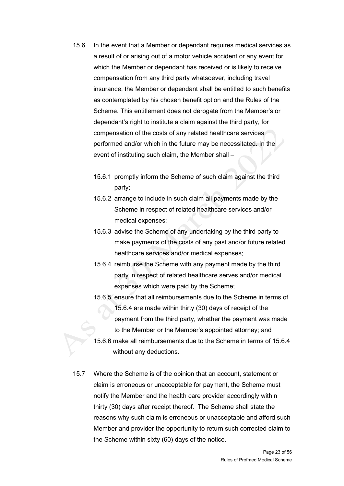- 15.6 In the event that a Member or dependant requires medical services as a result of or arising out of a motor vehicle accident or any event for which the Member or dependant has received or is likely to receive compensation from any third party whatsoever, including travel insurance, the Member or dependant shall be entitled to such benefits as contemplated by his chosen benefit option and the Rules of the Scheme. This entitlement does not derogate from the Member's or dependant's right to institute a claim against the third party, for compensation of the costs of any related healthcare services performed and/or which in the future may be necessitated. In the event of instituting such claim, the Member shall –
	- 15.6.1 promptly inform the Scheme of such claim against the third party;
	- 15.6.2 arrange to include in such claim all payments made by the Scheme in respect of related healthcare services and/or medical expenses;
	- 15.6.3 advise the Scheme of any undertaking by the third party to make payments of the costs of any past and/or future related healthcare services and/or medical expenses;
	- 15.6.4 reimburse the Scheme with any payment made by the third party in respect of related healthcare serves and/or medical expenses which were paid by the Scheme;
	- 15.6.5 ensure that all reimbursements due to the Scheme in terms of 15.6.4 are made within thirty (30) days of receipt of the payment from the third party, whether the payment was made to the Member or the Member's appointed attorney; and
	- 15.6.6 make all reimbursements due to the Scheme in terms of 15.6.4 without any deductions.
- 15.7 Where the Scheme is of the opinion that an account, statement or claim is erroneous or unacceptable for payment, the Scheme must notify the Member and the health care provider accordingly within thirty (30) days after receipt thereof. The Scheme shall state the reasons why such claim is erroneous or unacceptable and afford such Member and provider the opportunity to return such corrected claim to the Scheme within sixty (60) days of the notice.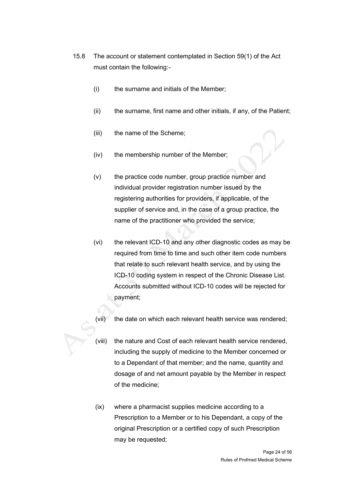- 15.8 The account or statement contemplated in Section 59(1) of the Act must contain the following:-
	- (i) the surname and initials of the Member;
	- (ii) the surname, first name and other initials, if any, of the Patient;
	- (iii) the name of the Scheme;
	- (iv) the membership number of the Member;
	- (v) the practice code number, group practice number and individual provider registration number issued by the registering authorities for providers, if applicable, of the supplier of service and, in the case of a group practice, the name of the practitioner who provided the service;
	- (vi) the relevant ICD-10 and any other diagnostic codes as may be required from time to time and such other item code numbers that relate to such relevant health service, and by using the ICD-10 coding system in respect of the Chronic Disease List. Accounts submitted without ICD-10 codes will be rejected for payment;
	- (vii) the date on which each relevant health service was rendered;
	- (viii) the nature and Cost of each relevant health service rendered, including the supply of medicine to the Member concerned or to a Dependant of that member; and the name, quantity and dosage of and net amount payable by the Member in respect of the medicine;
	- (ix) where a pharmacist supplies medicine according to a Prescription to a Member or to his Dependant, a copy of the original Prescription or a certified copy of such Prescription may be requested;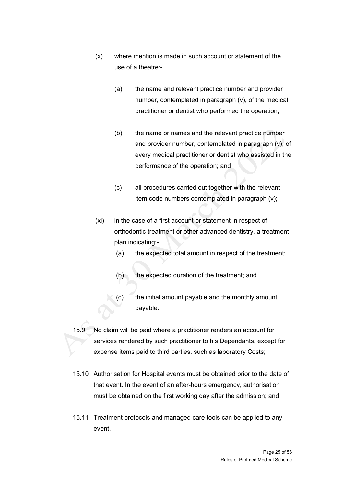- (x) where mention is made in such account or statement of the use of a theatre:-
	- (a) the name and relevant practice number and provider number, contemplated in paragraph (v), of the medical practitioner or dentist who performed the operation;
	- (b) the name or names and the relevant practice number and provider number, contemplated in paragraph (v), of every medical practitioner or dentist who assisted in the performance of the operation; and
	- (c) all procedures carried out together with the relevant item code numbers contemplated in paragraph (v);
- (xi) in the case of a first account or statement in respect of orthodontic treatment or other advanced dentistry, a treatment plan indicating:-
	- (a) the expected total amount in respect of the treatment;
	- (b) the expected duration of the treatment; and
	- (c) the initial amount payable and the monthly amount payable.
- 15.9 No claim will be paid where a practitioner renders an account for services rendered by such practitioner to his Dependants, except for expense items paid to third parties, such as laboratory Costs;
- 15.10 Authorisation for Hospital events must be obtained prior to the date of that event. In the event of an after-hours emergency, authorisation must be obtained on the first working day after the admission; and
- 15.11 Treatment protocols and managed care tools can be applied to any event.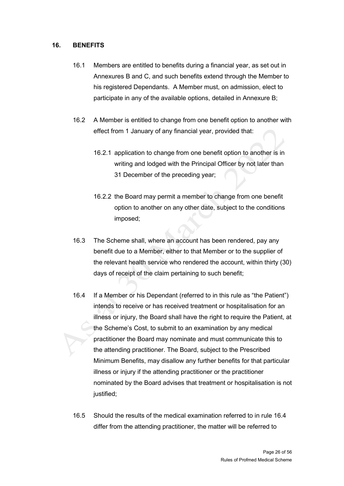### <span id="page-25-0"></span>**16. BENEFITS**

- 16.1 Members are entitled to benefits during a financial year, as set out in Annexures B and C, and such benefits extend through the Member to his registered Dependants. A Member must, on admission, elect to participate in any of the available options, detailed in Annexure B;
- 16.2 A Member is entitled to change from one benefit option to another with effect from 1 January of any financial year, provided that:
	- 16.2.1 application to change from one benefit option to another is in writing and lodged with the Principal Officer by not later than 31 December of the preceding year;
	- 16.2.2 the Board may permit a member to change from one benefit option to another on any other date, subject to the conditions imposed;
- 16.3 The Scheme shall, where an account has been rendered, pay any benefit due to a Member, either to that Member or to the supplier of the relevant health service who rendered the account, within thirty (30) days of receipt of the claim pertaining to such benefit;
- 16.4 If a Member or his Dependant (referred to in this rule as "the Patient") intends to receive or has received treatment or hospitalisation for an illness or injury, the Board shall have the right to require the Patient, at the Scheme's Cost, to submit to an examination by any medical practitioner the Board may nominate and must communicate this to the attending practitioner. The Board, subject to the Prescribed Minimum Benefits, may disallow any further benefits for that particular illness or injury if the attending practitioner or the practitioner nominated by the Board advises that treatment or hospitalisation is not justified;
- 16.5 Should the results of the medical examination referred to in rule 16.4 differ from the attending practitioner, the matter will be referred to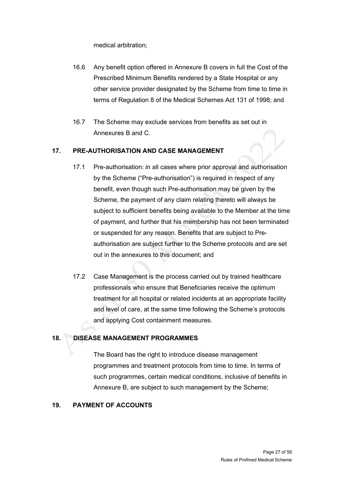medical arbitration;

- 16.6 Any benefit option offered in Annexure B covers in full the Cost of the Prescribed Minimum Benefits rendered by a State Hospital or any other service provider designated by the Scheme from time to time in terms of Regulation 8 of the Medical Schemes Act 131 of 1998; and
- 16.7 The Scheme may exclude services from benefits as set out in Annexures B and C.

### <span id="page-26-0"></span>**17. PRE-AUTHORISATION AND CASE MANAGEMENT**

- 17.1 Pre-authorisation: in all cases where prior approval and authorisation by the Scheme ("Pre-authorisation") is required in respect of any benefit, even though such Pre-authorisation may be given by the Scheme, the payment of any claim relating thereto will always be subject to sufficient benefits being available to the Member at the time of payment, and further that his membership has not been terminated or suspended for any reason. Benefits that are subject to Preauthorisation are subject further to the Scheme protocols and are set out in the annexures to this document; and
- 17.2 Case Management is the process carried out by trained healthcare professionals who ensure that Beneficiaries receive the optimum treatment for all hospital or related incidents at an appropriate facility and level of care, at the same time following the Scheme's protocols and applying Cost containment measures.

### <span id="page-26-1"></span>**18. DISEASE MANAGEMENT PROGRAMMES**

The Board has the right to introduce disease management programmes and treatment protocols from time to time. In terms of such programmes, certain medical conditions, inclusive of benefits in Annexure B, are subject to such management by the Scheme;

### <span id="page-26-2"></span>**19. PAYMENT OF ACCOUNTS**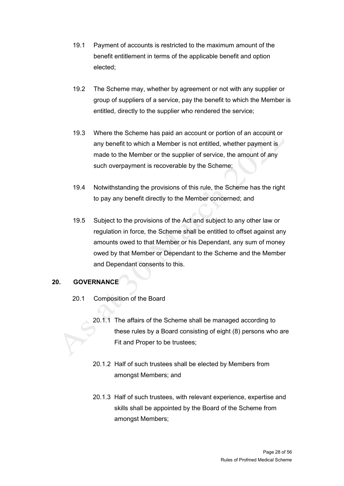- 19.1 Payment of accounts is restricted to the maximum amount of the benefit entitlement in terms of the applicable benefit and option elected;
- 19.2 The Scheme may, whether by agreement or not with any supplier or group of suppliers of a service, pay the benefit to which the Member is entitled, directly to the supplier who rendered the service;
- 19.3 Where the Scheme has paid an account or portion of an account or any benefit to which a Member is not entitled, whether payment is made to the Member or the supplier of service, the amount of any such overpayment is recoverable by the Scheme;
- 19.4 Notwithstanding the provisions of this rule, the Scheme has the right to pay any benefit directly to the Member concerned; and
- 19.5 Subject to the provisions of the Act and subject to any other law or regulation in force, the Scheme shall be entitled to offset against any amounts owed to that Member or his Dependant, any sum of money owed by that Member or Dependant to the Scheme and the Member and Dependant consents to this.

# <span id="page-27-0"></span>**20. GOVERNANCE**

- 20.1 Composition of the Board
	- 20.1.1 The affairs of the Scheme shall be managed according to these rules by a Board consisting of eight (8) persons who are Fit and Proper to be trustees;
	- 20.1.2 Half of such trustees shall be elected by Members from amongst Members; and
	- 20.1.3 Half of such trustees, with relevant experience, expertise and skills shall be appointed by the Board of the Scheme from amongst Members;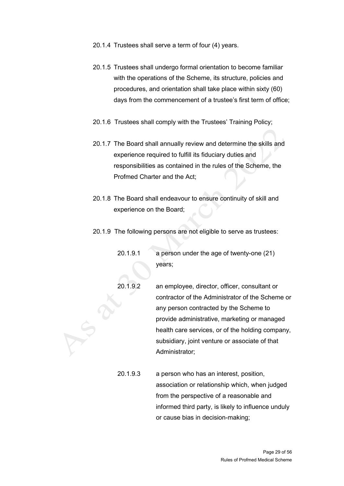- 20.1.4 Trustees shall serve a term of four (4) years.
- 20.1.5 Trustees shall undergo formal orientation to become familiar with the operations of the Scheme, its structure, policies and procedures, and orientation shall take place within sixty (60) days from the commencement of a trustee's first term of office;
- 20.1.6 Trustees shall comply with the Trustees' Training Policy;
- 20.1.7 The Board shall annually review and determine the skills and experience required to fulfill its fiduciary duties and responsibilities as contained in the rules of the Scheme, the Profmed Charter and the Act;
- 20.1.8 The Board shall endeavour to ensure continuity of skill and experience on the Board;
- 20.1.9 The following persons are not eligible to serve as trustees:
	- 20.1.9.1 a person under the age of twenty-one (21) years;
	- 20.1.9.2 an employee, director, officer, consultant or contractor of the Administrator of the Scheme or any person contracted by the Scheme to provide administrative, marketing or managed health care services, or of the holding company, subsidiary, joint venture or associate of that Administrator;
	- 20.1.9.3 a person who has an interest, position, association or relationship which, when judged from the perspective of a reasonable and informed third party, is likely to influence unduly or cause bias in decision-making;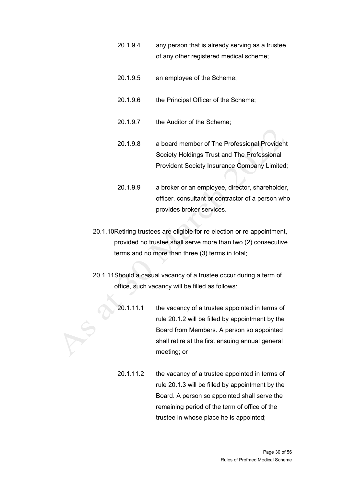- 20.1.9.4 any person that is already serving as a trustee of any other registered medical scheme;
- 20.1.9.5 an employee of the Scheme;
- 20.1.9.6 the Principal Officer of the Scheme:
- 20.1.9.7 the Auditor of the Scheme;
- 20.1.9.8 a board member of The Professional Provident Society Holdings Trust and The Professional Provident Society Insurance Company Limited;
- 20.1.9.9 a broker or an employee, director, shareholder, officer, consultant or contractor of a person who provides broker services.
- 20.1.10Retiring trustees are eligible for re-election or re-appointment, provided no trustee shall serve more than two (2) consecutive terms and no more than three (3) terms in total;
- 20.1.11Should a casual vacancy of a trustee occur during a term of office, such vacancy will be filled as follows:
	- 20.1.11.1 the vacancy of a trustee appointed in terms of rule 20.1.2 will be filled by appointment by the Board from Members. A person so appointed shall retire at the first ensuing annual general meeting; or
	- 20.1.11.2 the vacancy of a trustee appointed in terms of rule 20.1.3 will be filled by appointment by the Board. A person so appointed shall serve the remaining period of the term of office of the trustee in whose place he is appointed;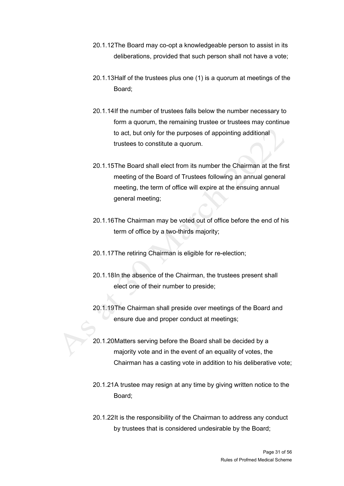- 20.1.12The Board may co-opt a knowledgeable person to assist in its deliberations, provided that such person shall not have a vote;
- 20.1.13Half of the trustees plus one (1) is a quorum at meetings of the Board;
- 20.1.14If the number of trustees falls below the number necessary to form a quorum, the remaining trustee or trustees may continue to act, but only for the purposes of appointing additional trustees to constitute a quorum.
- 20.1.15The Board shall elect from its number the Chairman at the first meeting of the Board of Trustees following an annual general meeting, the term of office will expire at the ensuing annual general meeting;
- 20.1.16The Chairman may be voted out of office before the end of his term of office by a two-thirds majority;
- 20.1.17The retiring Chairman is eligible for re-election;
- 20.1.18In the absence of the Chairman, the trustees present shall elect one of their number to preside;
- 20.1.19The Chairman shall preside over meetings of the Board and ensure due and proper conduct at meetings;
- 20.1.20Matters serving before the Board shall be decided by a majority vote and in the event of an equality of votes, the Chairman has a casting vote in addition to his deliberative vote;
- 20.1.21A trustee may resign at any time by giving written notice to the Board;
- 20.1.22It is the responsibility of the Chairman to address any conduct by trustees that is considered undesirable by the Board;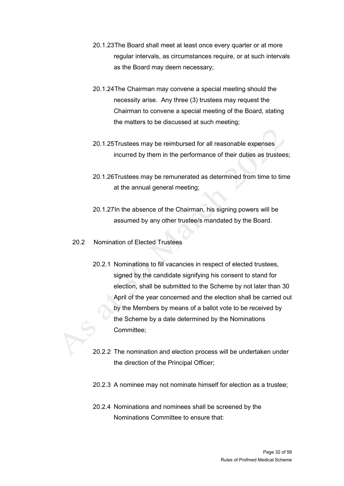- 20.1.23The Board shall meet at least once every quarter or at more regular intervals, as circumstances require, or at such intervals as the Board may deem necessary;
- 20.1.24The Chairman may convene a special meeting should the necessity arise. Any three (3) trustees may request the Chairman to convene a special meeting of the Board, stating the matters to be discussed at such meeting;
- 20.1.25Trustees may be reimbursed for all reasonable expenses incurred by them in the performance of their duties as trustees;
- 20.1.26Trustees may be remunerated as determined from time to time at the annual general meeting;
- 20.1.27In the absence of the Chairman, his signing powers will be assumed by any other trustee/s mandated by the Board.
- 20.2 Nomination of Elected Trustees
	- 20.2.1 Nominations to fill vacancies in respect of elected trustees, signed by the candidate signifying his consent to stand for election, shall be submitted to the Scheme by not later than 30 April of the year concerned and the election shall be carried out by the Members by means of a ballot vote to be received by the Scheme by a date determined by the Nominations Committee;
	- 20.2.2 The nomination and election process will be undertaken under the direction of the Principal Officer;
	- 20.2.3 A nominee may not nominate himself for election as a trustee;
	- 20.2.4 Nominations and nominees shall be screened by the Nominations Committee to ensure that: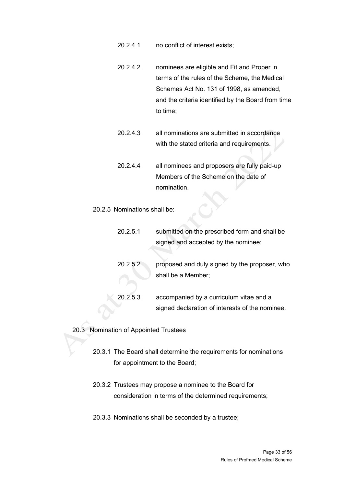- 20.2.4.1 no conflict of interest exists;
- 20.2.4.2 nominees are eligible and Fit and Proper in terms of the rules of the Scheme, the Medical Schemes Act No. 131 of 1998, as amended, and the criteria identified by the Board from time to time;
- 20.2.4.3 all nominations are submitted in accordance with the stated criteria and requirements.
- 20.2.4.4 all nominees and proposers are fully paid-up Members of the Scheme on the date of nomination.

#### 20.2.5 Nominations shall be:

20.2.5.1 submitted on the prescribed form and shall be signed and accepted by the nominee; 20.2.5.2 proposed and duly signed by the proposer, who shall be a Member; 20.2.5.3 accompanied by a curriculum vitae and a signed declaration of interests of the nominee.

### 20.3 Nomination of Appointed Trustees

- 20.3.1 The Board shall determine the requirements for nominations for appointment to the Board;
- 20.3.2 Trustees may propose a nominee to the Board for consideration in terms of the determined requirements;
- 20.3.3 Nominations shall be seconded by a trustee;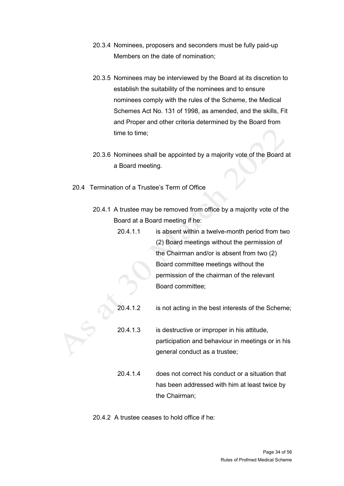- 20.3.4 Nominees, proposers and seconders must be fully paid-up Members on the date of nomination;
- 20.3.5 Nominees may be interviewed by the Board at its discretion to establish the suitability of the nominees and to ensure nominees comply with the rules of the Scheme, the Medical Schemes Act No. 131 of 1998, as amended, and the skills, Fit and Proper and other criteria determined by the Board from time to time;
- 20.3.6 Nominees shall be appointed by a majority vote of the Board at a Board meeting.
- 20.4 Termination of a Trustee's Term of Office
	- 20.4.1 A trustee may be removed from office by a majority vote of the Board at a Board meeting if he:
		- 20.4.1.1 is absent within a twelve-month period from two (2) Board meetings without the permission of the Chairman and/or is absent from two (2) Board committee meetings without the permission of the chairman of the relevant Board committee;
		- 20.4.1.2 is not acting in the best interests of the Scheme;
		- 20.4.1.3 is destructive or improper in his attitude, participation and behaviour in meetings or in his general conduct as a trustee;
		- 20.4.1.4 does not correct his conduct or a situation that has been addressed with him at least twice by the Chairman;

20.4.2 A trustee ceases to hold office if he: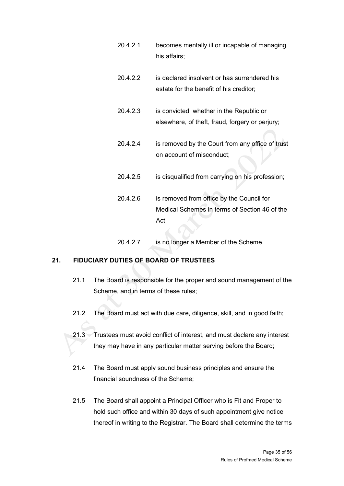20.4.2.1 becomes mentally ill or incapable of managing his affairs; 20.4.2.2 is declared insolvent or has surrendered his estate for the benefit of his creditor; 20.4.2.3 is convicted, whether in the Republic or elsewhere, of theft, fraud, forgery or perjury; 20.4.2.4 is removed by the Court from any office of trust on account of misconduct; 20.4.2.5 is disqualified from carrying on his profession; 20.4.2.6 is removed from office by the Council for Medical Schemes in terms of Section 46 of the Act; 20.4.2.7 is no longer a Member of the Scheme.

# <span id="page-34-0"></span>**21. FIDUCIARY DUTIES OF BOARD OF TRUSTEES**

- 21.1 The Board is responsible for the proper and sound management of the Scheme, and in terms of these rules;
- 21.2 The Board must act with due care, diligence, skill, and in good faith;
- 21.3 Trustees must avoid conflict of interest, and must declare any interest they may have in any particular matter serving before the Board;
- 21.4 The Board must apply sound business principles and ensure the financial soundness of the Scheme;
- 21.5 The Board shall appoint a Principal Officer who is Fit and Proper to hold such office and within 30 days of such appointment give notice thereof in writing to the Registrar. The Board shall determine the terms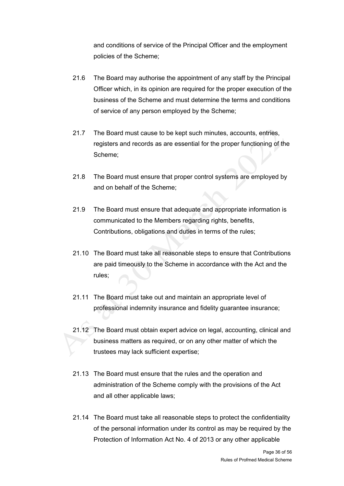and conditions of service of the Principal Officer and the employment policies of the Scheme;

- 21.6 The Board may authorise the appointment of any staff by the Principal Officer which, in its opinion are required for the proper execution of the business of the Scheme and must determine the terms and conditions of service of any person employed by the Scheme;
- 21.7 The Board must cause to be kept such minutes, accounts, entries, registers and records as are essential for the proper functioning of the Scheme;
- 21.8 The Board must ensure that proper control systems are employed by and on behalf of the Scheme;
- 21.9 The Board must ensure that adequate and appropriate information is communicated to the Members regarding rights, benefits, Contributions, obligations and duties in terms of the rules;
- 21.10 The Board must take all reasonable steps to ensure that Contributions are paid timeously to the Scheme in accordance with the Act and the rules;
- 21.11 The Board must take out and maintain an appropriate level of professional indemnity insurance and fidelity guarantee insurance;
- 21.12 The Board must obtain expert advice on legal, accounting, clinical and business matters as required, or on any other matter of which the trustees may lack sufficient expertise;
- 21.13 The Board must ensure that the rules and the operation and administration of the Scheme comply with the provisions of the Act and all other applicable laws;
- 21.14 The Board must take all reasonable steps to protect the confidentiality of the personal information under its control as may be required by the Protection of Information Act No. 4 of 2013 or any other applicable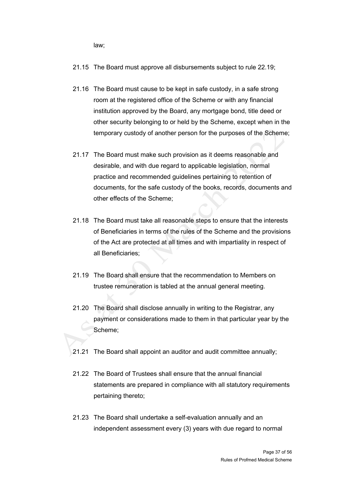law;

- 21.15 The Board must approve all disbursements subject to rule 22.19;
- 21.16 The Board must cause to be kept in safe custody, in a safe strong room at the registered office of the Scheme or with any financial institution approved by the Board, any mortgage bond, title deed or other security belonging to or held by the Scheme, except when in the temporary custody of another person for the purposes of the Scheme;
- 21.17 The Board must make such provision as it deems reasonable and desirable, and with due regard to applicable legislation, normal practice and recommended guidelines pertaining to retention of documents, for the safe custody of the books, records, documents and other effects of the Scheme;
- 21.18 The Board must take all reasonable steps to ensure that the interests of Beneficiaries in terms of the rules of the Scheme and the provisions of the Act are protected at all times and with impartiality in respect of all Beneficiaries;
- 21.19 The Board shall ensure that the recommendation to Members on trustee remuneration is tabled at the annual general meeting.
- 21.20 The Board shall disclose annually in writing to the Registrar, any payment or considerations made to them in that particular year by the Scheme;
- 21.21 The Board shall appoint an auditor and audit committee annually;
- 21.22 The Board of Trustees shall ensure that the annual financial statements are prepared in compliance with all statutory requirements pertaining thereto;
- 21.23 The Board shall undertake a self-evaluation annually and an independent assessment every (3) years with due regard to normal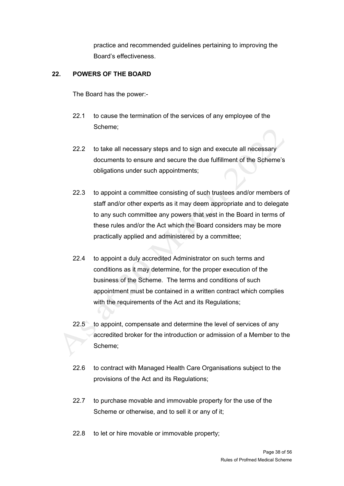practice and recommended guidelines pertaining to improving the Board's effectiveness.

# <span id="page-37-0"></span>**22. POWERS OF THE BOARD**

The Board has the power:-

- 22.1 to cause the termination of the services of any employee of the Scheme;
- 22.2 to take all necessary steps and to sign and execute all necessary documents to ensure and secure the due fulfillment of the Scheme's obligations under such appointments;
- 22.3 to appoint a committee consisting of such trustees and/or members of staff and/or other experts as it may deem appropriate and to delegate to any such committee any powers that vest in the Board in terms of these rules and/or the Act which the Board considers may be more practically applied and administered by a committee;
- 22.4 to appoint a duly accredited Administrator on such terms and conditions as it may determine, for the proper execution of the business of the Scheme. The terms and conditions of such appointment must be contained in a written contract which complies with the requirements of the Act and its Regulations;
- 22.5 to appoint, compensate and determine the level of services of any accredited broker for the introduction or admission of a Member to the Scheme;
- 22.6 to contract with Managed Health Care Organisations subject to the provisions of the Act and its Regulations;
- 22.7 to purchase movable and immovable property for the use of the Scheme or otherwise, and to sell it or any of it;
- 22.8 to let or hire movable or immovable property;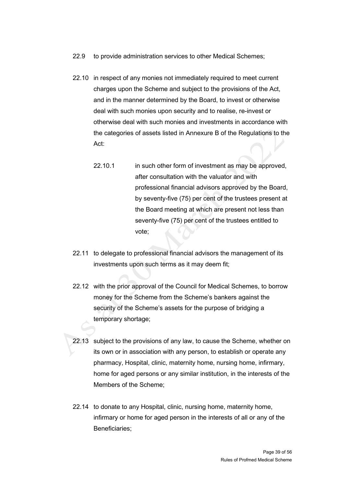- 22.9 to provide administration services to other Medical Schemes;
- 22.10 in respect of any monies not immediately required to meet current charges upon the Scheme and subject to the provisions of the Act, and in the manner determined by the Board, to invest or otherwise deal with such monies upon security and to realise, re-invest or otherwise deal with such monies and investments in accordance with the categories of assets listed in Annexure B of the Regulations to the Act:
	- 22.10.1 in such other form of investment as may be approved, after consultation with the valuator and with professional financial advisors approved by the Board, by seventy-five (75) per cent of the trustees present at the Board meeting at which are present not less than seventy-five (75) per cent of the trustees entitled to vote;
- 22.11 to delegate to professional financial advisors the management of its investments upon such terms as it may deem fit;
- 22.12 with the prior approval of the Council for Medical Schemes, to borrow money for the Scheme from the Scheme's bankers against the security of the Scheme's assets for the purpose of bridging a temporary shortage;
- 22.13 subject to the provisions of any law, to cause the Scheme, whether on its own or in association with any person, to establish or operate any pharmacy, Hospital, clinic, maternity home, nursing home, infirmary, home for aged persons or any similar institution, in the interests of the Members of the Scheme;
- 22.14 to donate to any Hospital, clinic, nursing home, maternity home, infirmary or home for aged person in the interests of all or any of the Beneficiaries;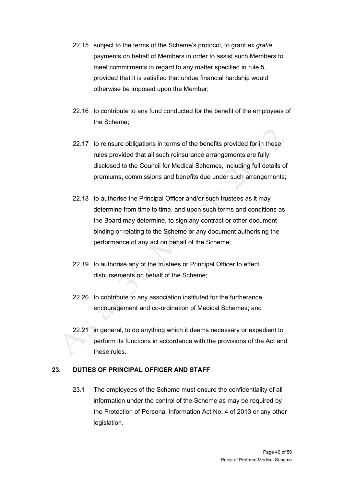- 22.15 subject to the terms of the Scheme's protocol, to grant *ex gratia* payments on behalf of Members in order to assist such Members to meet commitments in regard to any matter specified in rule 5. provided that it is satisfied that undue financial hardship would otherwise be imposed upon the Member;
- 22.16 to contribute to any fund conducted for the benefit of the employees of the Scheme;
- 22.17 to reinsure obligations in terms of the benefits provided for in these rules provided that all such reinsurance arrangements are fully disclosed to the Council for Medical Schemes, including full details of premiums, commissions and benefits due under such arrangements;
- 22.18 to authorise the Principal Officer and/or such trustees as it may determine from time to time, and upon such terms and conditions as the Board may determine, to sign any contract or other document binding or relating to the Scheme or any document authorising the performance of any act on behalf of the Scheme;
- 22.19 to authorise any of the trustees or Principal Officer to effect disbursements on behalf of the Scheme;
- 22.20 to contribute to any association instituted for the furtherance, encouragement and co-ordination of Medical Schemes; and
- 22.21 in general, to do anything which it deems necessary or expedient to perform its functions in accordance with the provisions of the Act and these rules.

# <span id="page-39-0"></span>**23. DUTIES OF PRINCIPAL OFFICER AND STAFF**

23.1 The employees of the Scheme must ensure the confidentiality of all information under the control of the Scheme as may be required by the Protection of Personal Information Act No. 4 of 2013 or any other legislation.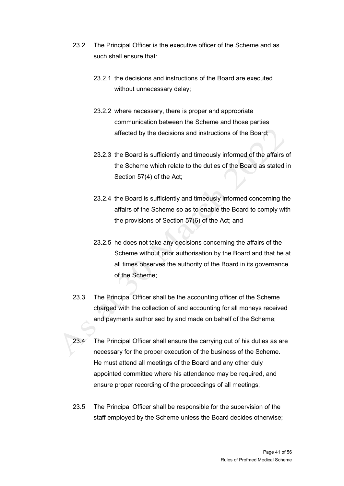- 23.2 The Principal Officer is the executive officer of the Scheme and as such shall ensure that:
	- 23.2.1 the decisions and instructions of the Board are executed without unnecessary delay;
	- 23.2.2 where necessary, there is proper and appropriate communication between the Scheme and those parties affected by the decisions and instructions of the Board;
	- 23.2.3 the Board is sufficiently and timeously informed of the affairs of the Scheme which relate to the duties of the Board as stated in Section 57(4) of the Act;
	- 23.2.4 the Board is sufficiently and timeously informed concerning the affairs of the Scheme so as to enable the Board to comply with the provisions of Section 57(6) of the Act; and
	- 23.2.5 he does not take any decisions concerning the affairs of the Scheme without prior authorisation by the Board and that he at all times observes the authority of the Board in its governance of the Scheme;
- 23.3 The Principal Officer shall be the accounting officer of the Scheme charged with the collection of and accounting for all moneys received and payments authorised by and made on behalf of the Scheme;
- 23.4 The Principal Officer shall ensure the carrying out of his duties as are necessary for the proper execution of the business of the Scheme. He must attend all meetings of the Board and any other duly appointed committee where his attendance may be required, and ensure proper recording of the proceedings of all meetings;
- 23.5 The Principal Officer shall be responsible for the supervision of the staff employed by the Scheme unless the Board decides otherwise;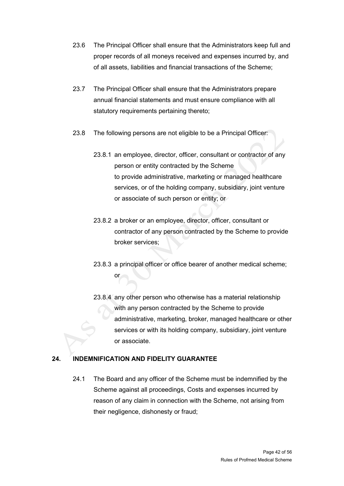- 23.6 The Principal Officer shall ensure that the Administrators keep full and proper records of all moneys received and expenses incurred by, and of all assets, liabilities and financial transactions of the Scheme;
- 23.7 The Principal Officer shall ensure that the Administrators prepare annual financial statements and must ensure compliance with all statutory requirements pertaining thereto;
- 23.8 The following persons are not eligible to be a Principal Officer:
	- 23.8.1 an employee, director, officer, consultant or contractor of any person or entity contracted by the Scheme to provide administrative, marketing or managed healthcare services, or of the holding company, subsidiary, joint venture or associate of such person or entity; or
	- 23.8.2 a broker or an employee, director, officer, consultant or contractor of any person contracted by the Scheme to provide broker services;
	- 23.8.3 a principal officer or office bearer of another medical scheme; or
	- 23.8.4 any other person who otherwise has a material relationship with any person contracted by the Scheme to provide administrative, marketing, broker, managed healthcare or other services or with its holding company, subsidiary, joint venture or associate.

# <span id="page-41-0"></span>**24. INDEMNIFICATION AND FIDELITY GUARANTEE**

24.1 The Board and any officer of the Scheme must be indemnified by the Scheme against all proceedings, Costs and expenses incurred by reason of any claim in connection with the Scheme, not arising from their negligence, dishonesty or fraud;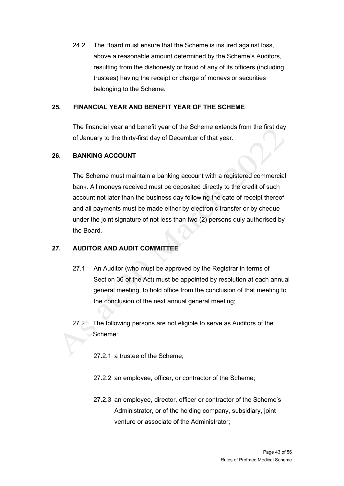24.2 The Board must ensure that the Scheme is insured against loss, above a reasonable amount determined by the Scheme's Auditors, resulting from the dishonesty or fraud of any of its officers (including trustees) having the receipt or charge of moneys or securities belonging to the Scheme.

### <span id="page-42-0"></span>**25. FINANCIAL YEAR AND BENEFIT YEAR OF THE SCHEME**

The financial year and benefit year of the Scheme extends from the first day of January to the thirty-first day of December of that year.

### <span id="page-42-1"></span>**26. BANKING ACCOUNT**

The Scheme must maintain a banking account with a registered commercial bank. All moneys received must be deposited directly to the credit of such account not later than the business day following the date of receipt thereof and all payments must be made either by electronic transfer or by cheque under the joint signature of not less than two (2) persons duly authorised by the Board.

# <span id="page-42-2"></span>**27. AUDITOR AND AUDIT COMMITTEE**

- 27.1 An Auditor (who must be approved by the Registrar in terms of Section 36 of the Act) must be appointed by resolution at each annual general meeting, to hold office from the conclusion of that meeting to the conclusion of the next annual general meeting;
- 27.2 The following persons are not eligible to serve as Auditors of the Scheme:
	- 27.2.1 a trustee of the Scheme;
	- 27.2.2 an employee, officer, or contractor of the Scheme;
	- 27.2.3 an employee, director, officer or contractor of the Scheme's Administrator, or of the holding company, subsidiary, joint venture or associate of the Administrator;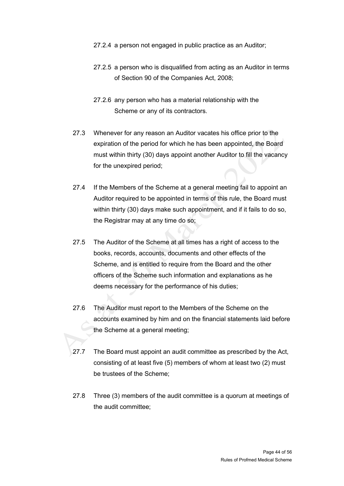- 27.2.4 a person not engaged in public practice as an Auditor;
- 27.2.5 a person who is disqualified from acting as an Auditor in terms of Section 90 of the Companies Act, 2008;
- 27.2.6 any person who has a material relationship with the Scheme or any of its contractors.
- 27.3 Whenever for any reason an Auditor vacates his office prior to the expiration of the period for which he has been appointed, the Board must within thirty (30) days appoint another Auditor to fill the vacancy for the unexpired period;
- 27.4 If the Members of the Scheme at a general meeting fail to appoint an Auditor required to be appointed in terms of this rule, the Board must within thirty (30) days make such appointment, and if it fails to do so, the Registrar may at any time do so;
- 27.5 The Auditor of the Scheme at all times has a right of access to the books, records, accounts, documents and other effects of the Scheme, and is entitled to require from the Board and the other officers of the Scheme such information and explanations as he deems necessary for the performance of his duties;
- 27.6 The Auditor must report to the Members of the Scheme on the accounts examined by him and on the financial statements laid before the Scheme at a general meeting;
- 27.7 The Board must appoint an audit committee as prescribed by the Act, consisting of at least five (5) members of whom at least two (2) must be trustees of the Scheme;
- 27.8 Three (3) members of the audit committee is a quorum at meetings of the audit committee;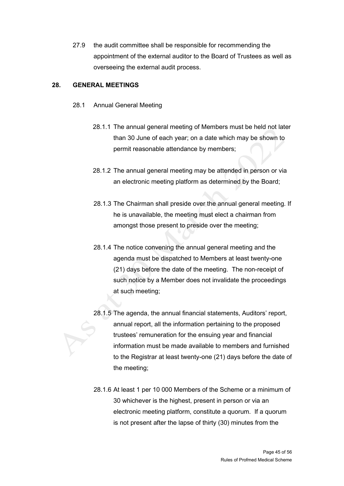27.9 the audit committee shall be responsible for recommending the appointment of the external auditor to the Board of Trustees as well as overseeing the external audit process.

### <span id="page-44-0"></span>**28. GENERAL MEETINGS**

- 28.1 Annual General Meeting
	- 28.1.1 The annual general meeting of Members must be held not later than 30 June of each year; on a date which may be shown to permit reasonable attendance by members;
	- 28.1.2 The annual general meeting may be attended in person or via an electronic meeting platform as determined by the Board;
	- 28.1.3 The Chairman shall preside over the annual general meeting. If he is unavailable, the meeting must elect a chairman from amongst those present to preside over the meeting;
	- 28.1.4 The notice convening the annual general meeting and the agenda must be dispatched to Members at least twenty-one (21) days before the date of the meeting. The non-receipt of such notice by a Member does not invalidate the proceedings at such meeting;
	- 28.1.5 The agenda, the annual financial statements, Auditors' report, annual report, all the information pertaining to the proposed trustees' remuneration for the ensuing year and financial information must be made available to members and furnished to the Registrar at least twenty-one (21) days before the date of the meeting;
	- 28.1.6 At least 1 per 10 000 Members of the Scheme or a minimum of 30 whichever is the highest, present in person or via an electronic meeting platform, constitute a quorum. If a quorum is not present after the lapse of thirty (30) minutes from the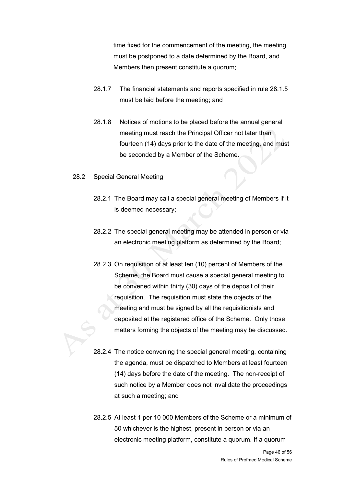time fixed for the commencement of the meeting, the meeting must be postponed to a date determined by the Board, and Members then present constitute a quorum;

- 28.1.7 The financial statements and reports specified in rule 28.1.5 must be laid before the meeting; and
- 28.1.8 Notices of motions to be placed before the annual general meeting must reach the Principal Officer not later than fourteen (14) days prior to the date of the meeting, and must be seconded by a Member of the Scheme.
- 28.2 Special General Meeting
	- 28.2.1 The Board may call a special general meeting of Members if it is deemed necessary;
	- 28.2.2 The special general meeting may be attended in person or via an electronic meeting platform as determined by the Board;
	- 28.2.3 On requisition of at least ten (10) percent of Members of the Scheme, the Board must cause a special general meeting to be convened within thirty (30) days of the deposit of their requisition. The requisition must state the objects of the meeting and must be signed by all the requisitionists and deposited at the registered office of the Scheme. Only those matters forming the objects of the meeting may be discussed.
	- 28.2.4 The notice convening the special general meeting, containing the agenda, must be dispatched to Members at least fourteen (14) days before the date of the meeting. The non-receipt of such notice by a Member does not invalidate the proceedings at such a meeting; and
	- 28.2.5 At least 1 per 10 000 Members of the Scheme or a minimum of 50 whichever is the highest, present in person or via an electronic meeting platform, constitute a quorum. If a quorum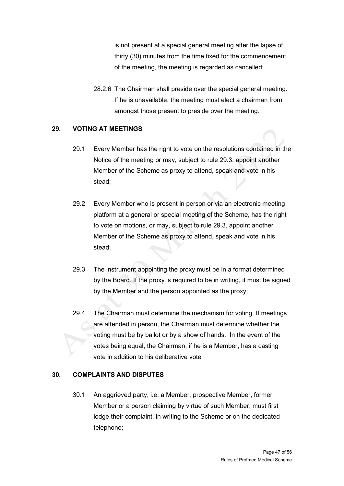is not present at a special general meeting after the lapse of thirty (30) minutes from the time fixed for the commencement of the meeting, the meeting is regarded as cancelled;

28.2.6 The Chairman shall preside over the special general meeting. If he is unavailable, the meeting must elect a chairman from amongst those present to preside over the meeting.

# <span id="page-46-0"></span>**29. VOTING AT MEETINGS**

- 29.1 Every Member has the right to vote on the resolutions contained in the Notice of the meeting or may, subject to rule 29.3, appoint another Member of the Scheme as proxy to attend, speak and vote in his stead;
- 29.2 Every Member who is present in person or via an electronic meeting platform at a general or special meeting of the Scheme, has the right to vote on motions, or may, subject to rule 29.3, appoint another Member of the Scheme as proxy to attend, speak and vote in his stead;
- 29.3 The instrument appointing the proxy must be in a format determined by the Board. If the proxy is required to be in writing, it must be signed by the Member and the person appointed as the proxy;
- 29.4 The Chairman must determine the mechanism for voting. If meetings are attended in person, the Chairman must determine whether the voting must be by ballot or by a show of hands. In the event of the votes being equal, the Chairman, if he is a Member, has a casting vote in addition to his deliberative vote

# <span id="page-46-1"></span>**30. COMPLAINTS AND DISPUTES**

30.1 An aggrieved party, i.e. a Member, prospective Member, former Member or a person claiming by virtue of such Member, must first lodge their complaint, in writing to the Scheme or on the dedicated telephone;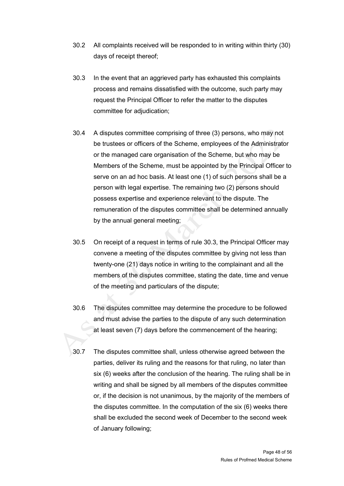- 30.2 All complaints received will be responded to in writing within thirty (30) days of receipt thereof;
- 30.3 In the event that an aggrieved party has exhausted this complaints process and remains dissatisfied with the outcome, such party may request the Principal Officer to refer the matter to the disputes committee for adjudication;
- 30.4 A disputes committee comprising of three (3) persons, who may not be trustees or officers of the Scheme, employees of the Administrator or the managed care organisation of the Scheme, but who may be Members of the Scheme, must be appointed by the Principal Officer to serve on an ad hoc basis. At least one (1) of such persons shall be a person with legal expertise. The remaining two (2) persons should possess expertise and experience relevant to the dispute. The remuneration of the disputes committee shall be determined annually by the annual general meeting;
- 30.5 On receipt of a request in terms of rule 30.3, the Principal Officer may convene a meeting of the disputes committee by giving not less than twenty-one (21) days notice in writing to the complainant and all the members of the disputes committee, stating the date, time and venue of the meeting and particulars of the dispute;
- 30.6 The disputes committee may determine the procedure to be followed and must advise the parties to the dispute of any such determination at least seven (7) days before the commencement of the hearing;
- 30.7 The disputes committee shall, unless otherwise agreed between the parties, deliver its ruling and the reasons for that ruling, no later than six (6) weeks after the conclusion of the hearing. The ruling shall be in writing and shall be signed by all members of the disputes committee or, if the decision is not unanimous, by the majority of the members of the disputes committee. In the computation of the six (6) weeks there shall be excluded the second week of December to the second week of January following;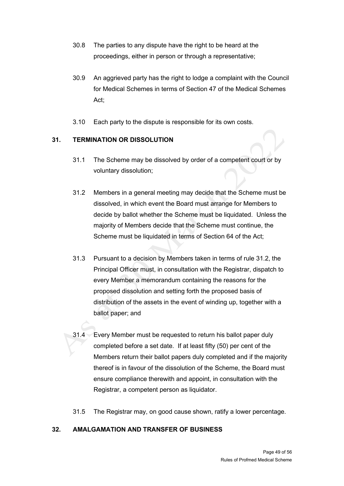- 30.8 The parties to any dispute have the right to be heard at the proceedings, either in person or through a representative;
- 30.9 An aggrieved party has the right to lodge a complaint with the Council for Medical Schemes in terms of Section 47 of the Medical Schemes Act;
- 3.10 Each party to the dispute is responsible for its own costs.

# <span id="page-48-0"></span>**31. TERMINATION OR DISSOLUTION**

- 31.1 The Scheme may be dissolved by order of a competent court or by voluntary dissolution;
- 31.2 Members in a general meeting may decide that the Scheme must be dissolved, in which event the Board must arrange for Members to decide by ballot whether the Scheme must be liquidated. Unless the majority of Members decide that the Scheme must continue, the Scheme must be liquidated in terms of Section 64 of the Act;
- 31.3 Pursuant to a decision by Members taken in terms of rule 31.2, the Principal Officer must, in consultation with the Registrar, dispatch to every Member a memorandum containing the reasons for the proposed dissolution and setting forth the proposed basis of distribution of the assets in the event of winding up, together with a ballot paper; and
- 31.4 Every Member must be requested to return his ballot paper duly completed before a set date. If at least fifty (50) per cent of the Members return their ballot papers duly completed and if the majority thereof is in favour of the dissolution of the Scheme, the Board must ensure compliance therewith and appoint, in consultation with the Registrar, a competent person as liquidator.
- 31.5 The Registrar may, on good cause shown, ratify a lower percentage.

# <span id="page-48-1"></span>**32. AMALGAMATION AND TRANSFER OF BUSINESS**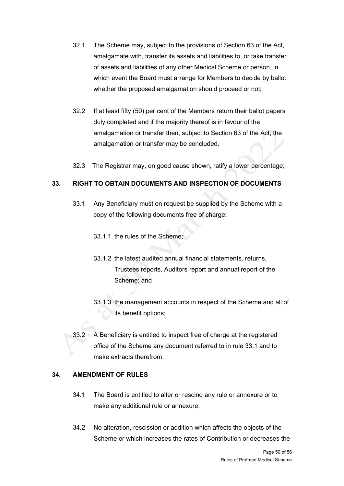- 32.1 The Scheme may, subject to the provisions of Section 63 of the Act, amalgamate with, transfer its assets and liabilities to, or take transfer of assets and liabilities of any other Medical Scheme or person, in which event the Board must arrange for Members to decide by ballot whether the proposed amalgamation should proceed or not;
- 32.2 If at least fifty (50) per cent of the Members return their ballot papers duly completed and if the majority thereof is in favour of the amalgamation or transfer then, subject to Section 63 of the Act, the amalgamation or transfer may be concluded.
- 32.3 The Registrar may, on good cause shown, ratify a lower percentage;

# <span id="page-49-0"></span>**33. RIGHT TO OBTAIN DOCUMENTS AND INSPECTION OF DOCUMENTS**

- 33.1 Any Beneficiary must on request be supplied by the Scheme with a copy of the following documents free of charge:
	- 33.1.1 the rules of the Scheme;
	- 33.1.2 the latest audited annual financial statements, returns, Trustees reports, Auditors report and annual report of the Scheme; and
	- 33.1.3 the management accounts in respect of the Scheme and all of its benefit options;
- 33.2 A Beneficiary is entitled to inspect free of charge at the registered office of the Scheme any document referred to in rule 33.1 and to make extracts therefrom.

### <span id="page-49-1"></span>**34. AMENDMENT OF RULES**

- 34.1 The Board is entitled to alter or rescind any rule or annexure or to make any additional rule or annexure;
- 34.2 No alteration, rescission or addition which affects the objects of the Scheme or which increases the rates of Contribution or decreases the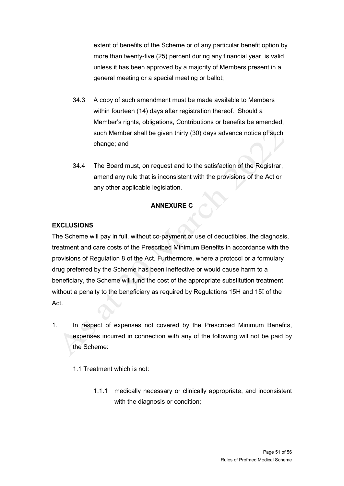extent of benefits of the Scheme or of any particular benefit option by more than twenty-five (25) percent during any financial year, is valid unless it has been approved by a majority of Members present in a general meeting or a special meeting or ballot;

- 34.3 A copy of such amendment must be made available to Members within fourteen (14) days after registration thereof. Should a Member's rights, obligations, Contributions or benefits be amended, such Member shall be given thirty (30) days advance notice of such change; and
- 34.4 The Board must, on request and to the satisfaction of the Registrar, amend any rule that is inconsistent with the provisions of the Act or any other applicable legislation.

# **ANNEXURE C**

# <span id="page-50-0"></span>**EXCLUSIONS**

The Scheme will pay in full, without co-payment or use of deductibles, the diagnosis, treatment and care costs of the Prescribed Minimum Benefits in accordance with the provisions of Regulation 8 of the Act. Furthermore, where a protocol or a formulary drug preferred by the Scheme has been ineffective or would cause harm to a beneficiary, the Scheme will fund the cost of the appropriate substitution treatment without a penalty to the beneficiary as required by Regulations 15H and 15I of the Act.

- 1. In respect of expenses not covered by the Prescribed Minimum Benefits, expenses incurred in connection with any of the following will not be paid by the Scheme:
	- 1.1 Treatment which is not:
		- 1.1.1 medically necessary or clinically appropriate, and inconsistent with the diagnosis or condition;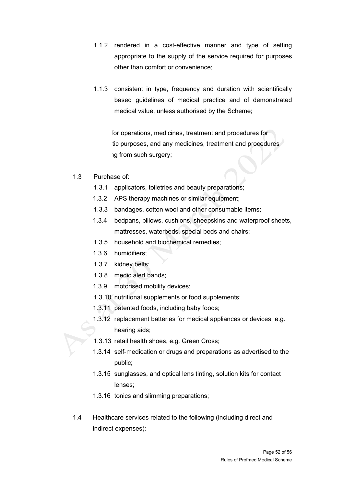- 1.1.2 rendered in a cost-effective manner and type of setting appropriate to the supply of the service required for purposes other than comfort or convenience;
- 1.1.3 consistent in type, frequency and duration with scientifically based guidelines of medical practice and of demonstrated medical value, unless authorised by the Scheme;

for operations, medicines, treatment and procedures for tic purposes, and any medicines, treatment and procedures ig from such surgery;

- 1.3 Purchase of:
	- 1.3.1 applicators, toiletries and beauty preparations;
	- 1.3.2 APS therapy machines or similar equipment;
	- 1.3.3 bandages, cotton wool and other consumable items;
	- 1.3.4 bedpans, pillows, cushions, sheepskins and waterproof sheets, mattresses, waterbeds, special beds and chairs;
	- 1.3.5 household and biochemical remedies;
	- 1.3.6 humidifiers;
	- 1.3.7 kidney belts;
	- 1.3.8 medic alert bands;
	- 1.3.9 motorised mobility devices;
	- 1.3.10 nutritional supplements or food supplements;
	- 1.3.11 patented foods, including baby foods;
	- 1.3.12 replacement batteries for medical appliances or devices, e.g. hearing aids;
	- 1.3.13 retail health shoes, e.g. Green Cross;
	- 1.3.14 self-medication or drugs and preparations as advertised to the public;
	- 1.3.15 sunglasses, and optical lens tinting, solution kits for contact lenses;
	- 1.3.16 tonics and slimming preparations;
- 1.4 Healthcare services related to the following (including direct and indirect expenses):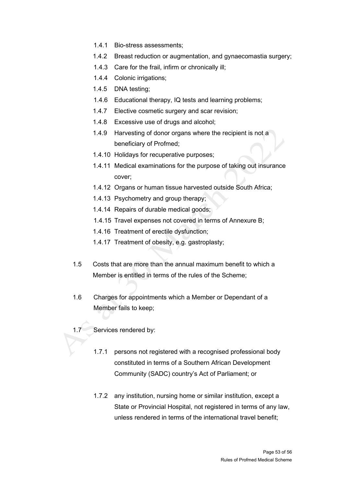- 1.4.1 Bio-stress assessments;
- 1.4.2 Breast reduction or augmentation, and gynaecomastia surgery;
- 1.4.3 Care for the frail, infirm or chronically ill;
- 1.4.4 Colonic irrigations;
- 1.4.5 DNA testing;
- 1.4.6 Educational therapy, IQ tests and learning problems;
- 1.4.7 Elective cosmetic surgery and scar revision;
- 1.4.8 Excessive use of drugs and alcohol;
- 1.4.9 Harvesting of donor organs where the recipient is not a beneficiary of Profmed;
- 1.4.10 Holidays for recuperative purposes;
- 1.4.11 Medical examinations for the purpose of taking out insurance cover;
- 1.4.12 Organs or human tissue harvested outside South Africa;
- 1.4.13 Psychometry and group therapy;
- 1.4.14 Repairs of durable medical goods;
- 1.4.15 Travel expenses not covered in terms of Annexure B;
- 1.4.16 Treatment of erectile dysfunction;
- 1.4.17 Treatment of obesity, e.g. gastroplasty;
- 1.5 Costs that are more than the annual maximum benefit to which a Member is entitled in terms of the rules of the Scheme;
- 1.6 Charges for appointments which a Member or Dependant of a Member fails to keep;
- 1.7 Services rendered by:
	- 1.7.1 persons not registered with a recognised professional body constituted in terms of a Southern African Development Community (SADC) country's Act of Parliament; or
	- 1.7.2 any institution, nursing home or similar institution, except a State or Provincial Hospital, not registered in terms of any law, unless rendered in terms of the international travel benefit;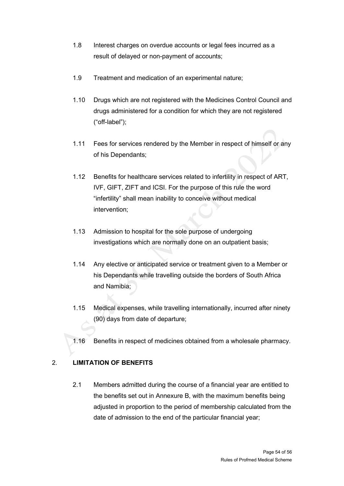- 1.8 Interest charges on overdue accounts or legal fees incurred as a result of delayed or non-payment of accounts;
- 1.9 Treatment and medication of an experimental nature;
- 1.10 Drugs which are not registered with the Medicines Control Council and drugs administered for a condition for which they are not registered ("off-label");
- 1.11 Fees for services rendered by the Member in respect of himself or any of his Dependants;
- 1.12 Benefits for healthcare services related to infertility in respect of ART, IVF, GIFT, ZIFT and ICSI. For the purpose of this rule the word "infertility" shall mean inability to conceive without medical intervention;
- 1.13 Admission to hospital for the sole purpose of undergoing investigations which are normally done on an outpatient basis;
- 1.14 Any elective or anticipated service or treatment given to a Member or his Dependants while travelling outside the borders of South Africa and Namibia;
- 1.15 Medical expenses, while travelling internationally, incurred after ninety (90) days from date of departure;
- 1.16 Benefits in respect of medicines obtained from a wholesale pharmacy.

# 2. **LIMITATION OF BENEFITS**

2.1 Members admitted during the course of a financial year are entitled to the benefits set out in Annexure B, with the maximum benefits being adjusted in proportion to the period of membership calculated from the date of admission to the end of the particular financial year;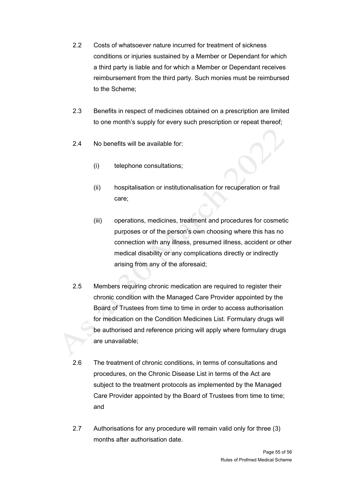- 2.2 Costs of whatsoever nature incurred for treatment of sickness conditions or injuries sustained by a Member or Dependant for which a third party is liable and for which a Member or Dependant receives reimbursement from the third party. Such monies must be reimbursed to the Scheme;
- 2.3 Benefits in respect of medicines obtained on a prescription are limited to one month's supply for every such prescription or repeat thereof;
- 2.4 No benefits will be available for:
	- (i) telephone consultations;
	- (ii) hospitalisation or institutionalisation for recuperation or frail care;
	- (iii) operations, medicines, treatment and procedures for cosmetic purposes or of the person's own choosing where this has no connection with any illness, presumed illness, accident or other medical disability or any complications directly or indirectly arising from any of the aforesaid;
- 2.5 Members requiring chronic medication are required to register their chronic condition with the Managed Care Provider appointed by the Board of Trustees from time to time in order to access authorisation for medication on the Condition Medicines List. Formulary drugs will be authorised and reference pricing will apply where formulary drugs are unavailable;
- 2.6 The treatment of chronic conditions, in terms of consultations and procedures, on the Chronic Disease List in terms of the Act are subject to the treatment protocols as implemented by the Managed Care Provider appointed by the Board of Trustees from time to time; and
- 2.7 Authorisations for any procedure will remain valid only for three (3) months after authorisation date.